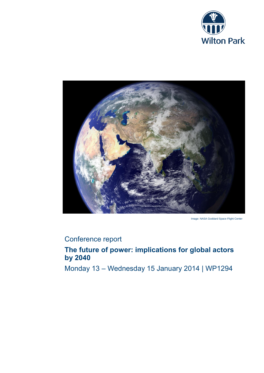



Image: NASA Goddard Space Flight Center

# Conference report

# **The future of power: implications for global actors by 2040**

Monday 13 – Wednesday 15 January 2014 | WP1294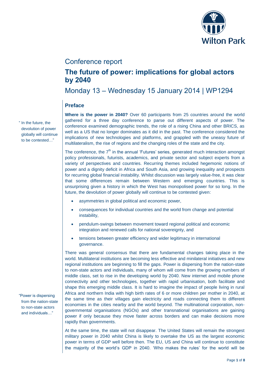

## Conference report

## **The future of power: implications for global actors by 2040**

Monday 13 – Wednesday 15 January 2014 | WP1294

## **Preface**

**Where is the power in 2040?** Over 60 participants from 25 countries around the world gathered for a three day conference to parse out different aspects of power. The conference examined demographic trends, the role of a rising China and other BRICS, as well as a US that no longer dominates as it did in the past. The conference considered the implications of new technologies and platforms, and grappled with the uneasy future of multilateralism, the rise of regions and the changing roles of the state and the city.

The conference, the  $7<sup>th</sup>$  in the annual 'Futures' series, generated much interaction amongst policy professionals, futurists, academics, and private sector and subject experts from a variety of perspectives and countries. Recurring themes included hegemonic notions of power and a dignity deficit in Africa and South Asia, and growing inequality and prospects for recurring global financial instability. Whilst discussion was largely value-free, it was clear that some differences remain between Western and emerging countries. This is unsurprising given a history in which the West has monopolised power for so long. In the future, the devolution of power globally will continue to be contested given:

- asymmetries in global political and economic power,
- consequences for individual countries and the world from change and potential instability,
- pendulum-swings between movement toward regional political and economic integration and renewed calls for national sovereignty, and
- tensions between greater efficiency and wider legitimacy in international governance.

There was general consensus that there are fundamental changes taking place in the world. Multilateral institutions are becoming less effective and minilateral initiatives and new regional institutions are beginning to fill the gaps. Power is dispersing from the nation-state to non-state actors and individuals, many of whom will come from the growing numbers of middle class, set to rise in the developing world by 2040. New internet and mobile phone connectivity and other technologies, together with rapid urbanisation, both facilitate and shape this emerging middle class. It is hard to imagine the impact of people living in rural Africa and northern India with high birth rates of 6 or more children per mother in 2040, at the same time as their villages gain electricity and roads connecting them to different economies in the cities nearby and the world beyond. The multinational corporation, nongovernmental organisations (NGOs) and other transnational organisations are gaining power if only because they move faster across borders and can make decisions more rapidly than governments.

At the same time, the state will not disappear. The United States will remain the strongest military power in 2040 whilst China is likely to overtake the US as the largest economic power in terms of GDP well before then. The EU, US and China will continue to constitute the majority of the world's GDP in 2040. 'Who makes the rules' for the world will be

" In the future, the devolution of power globally will continue to be contested…"

"Power is dispersing from the nation-state to non-state actors and individuals…"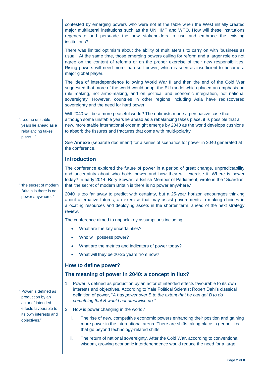contested by emerging powers who were not at the table when the West initially created major multilateral institutions such as the UN, IMF and WTO. How will these institutions regenerate and persuade the new stakeholders to use and embrace the existing institutions?

There was limited optimism about the ability of multilaterals to carry on with 'business as usual'. At the same time, those emerging powers calling for reform and a larger role do not agree on the content of reforms or on the proper exercise of their new responsibilities. Rising powers will need more than soft power, which is seen as insufficient to become a major global player.

The idea of interdependence following World War II and then the end of the Cold War suggested that more of the world would adopt the EU model which placed an emphasis on rule making, not arms-making, and on political and economic integration, not national sovereignty. However, countries in other regions including Asia have rediscovered sovereignty and the need for hard power.

Will 2040 will be a more peaceful world? The optimists made a persuasive case that although some unstable years lie ahead as a rebalancing takes place, it is possible that a new, more stable international order might emerge by 2040 as the world develops cushions to absorb the fissures and fractures that come with multi-polarity.

See **Annexe** (separate document) for a series of scenarios for power in 2040 generated at the conference.

#### **Introduction**

The conference explored the future of power in a period of great change, unpredictability and uncertainty about who holds power and how they will exercise it. Where is power today? In early 2014, Rory Stewart, a British Member of Parliament, wrote in the 'Guardian' that 'the secret of modern Britain is there is no power anywhere.'

2040 is too far away to predict with certainty, but a 25-year horizon encourages thinking about alternative futures, an exercise that may assist governments in making choices in allocating resources and deploying assets in the shorter term, ahead of the next strategy review.

The conference aimed to unpack key assumptions including:

- What are the key uncertainties?
- Who will possess power?
- What are the metrics and indicators of power today?
- What will they be 20-25 years from now?

#### **How to define power?**

#### **The meaning of power in 2040: a concept in flux?**

- 1. Power is defined as production by an actor of intended effects favourable to its own interests and objectives. According to Yale Political Scientist Robert Dahl's classical definition of power, "*A has power over B to the extent that he can get B to do something that B would not otherwise do."*
- 2. How is power changing in the world?
	- i. The rise of new, competitive economic powers enhancing their position and gaining more power in the international arena. There are shifts taking place in geopolitics that go beyond technology-related shifts.
	- ii. The return of national sovereignty. After the Cold War, according to conventional wisdom, growing economic interdependence would reduce the need for a large

"…some unstable years lie ahead as a rebalancing takes place…"

" 'the secret of modern Britain is there is no power anywhere.'"

" Power is defined as production by an actor of intended effects favourable to its own interests and objectives."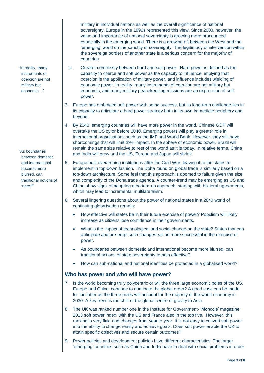military in individual nations as well as the overall significance of national sovereignty. Europe in the 1990s represented this view. Since 2000, however, the value and importance of national sovereignty is growing more pronounced especially in the emerging world. There is a growing rift between the West and the 'emerging' world on the sanctity of sovereignty. The legitimacy of intervention within the sovereign borders of another state is a serious concern for the majority of countries.

- iii. Greater complexity between hard and soft power. Hard power is defined as the capacity to coerce and soft power as the capacity to influence, implying that coercion is the application of military power, and influence includes wielding of economic power. In reality, many instruments of coercion are not military but economic, and many military peacekeeping missions are an expression of soft power.
- 3. Europe has embraced soft power with some success, but its long-term challenge lies in its capacity to articulate a hard power strategy both in its own immediate periphery and beyond.
- 4. By 2040, emerging countries will have more power in the world. Chinese GDP will overtake the US by or before 2040. Emerging powers will play a greater role in international organisations such as the IMF and World Bank. However, they still have shortcomings that will limit their impact. In the sphere of economic power, Brazil will remain the same size relative to rest of the world as it is today. In relative terms, China and India will grow and the US, Europe and Japan will shrink.
- 5. Europe built overarching institutions after the Cold War, leaving it to the states to implement in top-down fashion. The Doha round on global trade is similarly based on a top-down architecture. Some feel that this approach is doomed to failure given the size and complexity of the Doha trade agenda. A counter-trend may be emerging as US and China show signs of adopting a bottom-up approach, starting with bilateral agreements, which may lead to incremental multilateralism.
- 6. Several lingering questions about the power of national states in a 2040 world of continuing globalisation remain:
	- How effective will states be in their future exercise of power? Populism will likely increase as citizens lose confidence in their governments.
	- What is the impact of technological and social change on the state? States that can anticipate and pre-empt such changes will be more successful in the exercise of power.
	- As boundaries between domestic and international become more blurred, can traditional notions of state sovereignty remain effective?
	- How can sub-national and national identities be protected in a globalised world?

#### **Who has power and who will have power?**

- 7. Is the world becoming truly polycentric or will the three large economic poles of the US, Europe and China, continue to dominate the global order? A good case can be made for the latter as the three poles will account for the majority of the world economy in 2030. A key trend is the shift of the global centre of gravity to Asia.
- 8. The UK was ranked number one in the Institute for Government- 'Monocle' magazine 2013 soft power index, with the US and France also in the top five. However, this ranking is very fluid and changes from year to year. It is not easy to convert soft power into the ability to change reality and achieve goals. Does soft power enable the UK to attain specific objectives and secure certain outcomes?
- 9. Power policies and development policies have different characteristics: The larger 'emerging' countries such as China and India have to deal with social problems in order

"As boundaries between domestic and international become more blurred, can traditional notions of state?"

"In reality, many instruments of coercion are not military but economic…"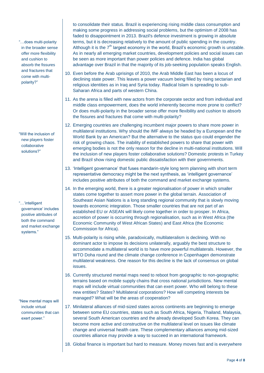"…does multi-polarity in the broader sense offer more flexibility and cushion to absorb the fissures and fractures that come with multipolarity?"

"Will the inclusion of new players foster collaborative solutions?"

"…'intelligent governance' includes positive attributes of both the command and market exchange systems."

"New mental maps will include virtual communities that can exert power."

to consolidate their status. Brazil is experiencing rising middle class consumption and making some progress in addressing social problems, but the optimism of 2008 has faded to disappointment in 2013. Brazil's defence investment is growing in absolute terms, but it is decreasing relatively to the amount of public spending in the country. Although it is the  $7<sup>th</sup>$  largest economy in the world, Brazil's economic growth is unstable. As in nearly all emerging market countries, development policies and social issues can be seen as more important than power policies and defence. India has global advantage over Brazil in that the majority of its job-seeking population speaks English.

- 10. Even before the Arab uprisings of 2010, the Arab Middle East has been a locus of declining state power. This leaves a power vacuum being filled by rising sectarian and religious identities as in Iraq and Syria today. Radical Islam is spreading to sub-Saharan Africa and parts of western China.
- 11. As the arena is filled with new actors from the corporate sector and from individual and middle class empowerment, does the world inherently become more prone to conflict? Or does multi-polarity in the broader sense offer more flexibility and cushion to absorb the fissures and fractures that come with multi-polarity?
- 12. Emerging countries are challenging incumbent major powers to share more power in multilateral institutions. Why should the IMF always be headed by a European and the World Bank by an American? But the alternative to the status quo could engender the risk of growing chaos. The inability of established powers to share that power with emerging bodies is not the only reason for the decline in multi-national institutions. Will the inclusion of new players foster collaborative solutions? Domestic protests in Turkey and Brazil show rising domestic public dissatisfaction with their governments.
- 13. 'Intelligent governance' that fuses mandarin-style long term planning with short term representative democracy might be the next synthesis, as 'intelligent governance' includes positive attributes of both the command and market exchange systems.
- 14. In the emerging world, there is a greater regionalisation of power in which smaller states come together to assert more power in the global terrain. Association of Southeast Asian Nations is a long standing regional community that is slowly moving towards economic integration. Those smaller countries that are not part of an established EU or ASEAN will likely come together in order to prosper. In Africa, accretion of power is occurring through regionalisation, such as in West Africa (the Economic Community of West African States) and East Africa (the Economic Commission for Africa).
- 15. Multi-polarity is rising while, paradoxically, multilateralism is declining. With no dominant actor to impose its decisions unilaterally, arguably the best structure to accommodate a multilateral world is to have more powerful multilaterals. However, the WTO Doha round and the climate change conference in Copenhagen demonstrate multilateral weakness. One reason for this decline is the lack of consensus on global issues.
- 16. Currently structured mental maps need to reboot from geographic to non-geographic terrains based on mobile supply chains that cross national jurisdictions. New mental maps will include virtual communities that can exert power. Who will belong to these new entities? States? Multilateral corporations? How will competing interests be managed? What will be the areas of cooperation?
- 17. Minilateral alliances of mid-sized states across continents are beginning to emerge between some EU countries, states such as South Africa, Nigeria, Thailand, Malaysia, several South American countries and the already developed South Korea. They can become more active and constructive on the multilateral level on issues like climate change and universal health care. These complementary alliances among mid-sized countries alliance may provide a way to succeed in an international framework.
- 18. Global finance is important but hard to measure. Money moves fast and is everywhere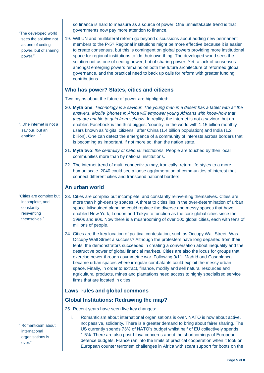"The developed world sees the solution not as one of ceding power, but of sharing power."

"…the internet is not a saviour, but an enabler…."

"Cities are complex but incomplete, and constantly reinventing themselves."

" Romanticism about international organisations is over."

so finance is hard to measure as a source of power. One unmistakable trend is that governments now pay more attention to finance.

19. Will UN and multilateral reform go beyond discussions about adding new permanent members to the P-5? Regional institutions might be more effective because it is easier to create consensus, but this is contingent on global powers providing more institutional space for regional institutions to 'do their own thing. The developed world sees the solution not as one of ceding power, but of sharing power. Yet, a lack of consensus amongst emerging powers remains on both the future architecture of reformed global governance, and the practical need to back up calls for reform with greater funding contributions.

## **Who has power? States, cities and citizens**

Two myths about the future of power are highlighted:

- 20. **Myth one**: *Technology is a saviour. The young man in a desert has a tablet with all the answers. Mobile 'phones in Africa will empower young Africans with know-how that they are unable to gain from schools.* In reality, the internet is not a saviour, but an enabler. Facebook is the third biggest 'country' in the world with 1.15 billion monthly users known as 'digital citizens,' after China (1.4 billion population) and India (1.2 billion). One can detect the emergence of a community of interests across borders that is becoming as important, if not more so, than the nation state.
- 21. **Myth two**: *the centrality of national institutions.* People are touched by their local communities more than by national institutions.
- 22. The internet trend of multi-connectivity may, ironically, return life-styles to a more human scale. 2040 could see a loose agglomeration of communities of interest that connect different cities and transcend national borders.

## **An urban world**

- 23. Cities are complex but incomplete, and constantly reinventing themselves. Cities are more than high-density spaces. A threat to cities lies in the over-determination of urban space. Misguided planning could replace the diverse and messy spaces that have enabled New York, London and Tokyo to function as the core global cities since the 1980s and 90s. Now there is a mushrooming of over 100 global cities, each with tens of millions of people.
- 24. Cities are the key location of political contestation, such as Occupy Wall Street. Was Occupy Wall Street a success? Although the protesters have long departed from their tents, the demonstrators succeeded in creating a conversation about inequality and the destructive power of global financial markets. Cities are also the locus for groups that exercise power through asymmetric war. Following 9/11, Madrid and Casablanca became urban spaces where irregular combatants could exploit the messy urban space. Finally, in order to extract, finance, modify and sell natural resources and agricultural products, mines and plantations need access to highly specialised service firms that are located in cities.

## **Laws, rules and global commons**

## **Global Institutions: Redrawing the map?**

25. Recent years have seen five key changes:

i. Romanticism about international organisations is over. NATO is now about active, not passive, solidarity. There is a greater demand to bring about fairer sharing. The US currently spends 73% of NATO's budget whilst half of EU collectively spends 1.5%. There are also post-Libya concerns about the shortcomings of European defence budgets. France ran into the limits of practical cooperation when it took on European counter terrorism challenges in Africa with scant support for boots on the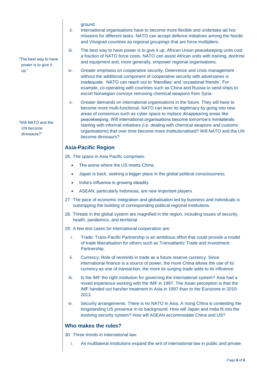ground.

- ii. International organisations have to become more flexible and undertake ad hoc missions for different tasks. NATO can accept defence initiatives among the Nordic and Visograd countries as regional groupings that are force multipliers.
- iii. The best way to have power is to give it up. African Union peacekeeping units cost a fraction of NATO force costs. NATO can assist African units with training, doctrine and equipment and, more generally, empower regional organisations.
- iv. Greater emphasis on cooperative security. Deterrence and crisis management without the additional component of cooperative security with adversaries is inadequate. NATO can reach out to 'friendlies' and 'occasional friends'. For example, co-operating with countries such as China and Russia to send ships to escort Norwegian convoys removing chemical weapons from Syria.
- v. Greater demands on international organisations in the future. They will have to become more multi-functional. NATO can lever its legitimacy by going into new areas of consensus such as cyber space to replace disappearing areas like peacekeeping. Will international organisations become tomorrow's minilaterals starting with informal initiatives (i.e. dealing with chemical weapons and customs organisations) that over time become more institutionalised? Will NATO and the UN become dinosaurs?

## **Asia-Pacific Region**

26. The space in Asia Pacific comprises:

- The arena where the US meets China.
- Japan is back, seeking a bigger place in the global political consciousness.
- India's influence is growing steadily.
- ASEAN, particularly Indonesia, are new important players
- 27. The pace of economic integration and globalisation led by business and individuals is outstripping the building of corresponding political regional institutions.
- 28. Threats in the global system are magnified in the region, including issues of security, health, pandemics, and territorial.
- 29. A few test cases for international cooperation are:
	- i. Trade: Trans-Pacific Partnership is an ambitious effort that could provide a model of trade liberalisation for others such as Transatlantic Trade and Investment Partnership.
	- ii. Currency: Role of renminbi in trade as a future reserve currency. Since international finance is a source of power, the more China allows the use of its currency as one of transaction, the more its surging trade adds to its influence.
	- iii. Is the IMF the right institution for governing the international system? Asia had a mixed experience working with the IMF in 1997. The Asian perception is that the IMF handed out harsher treatment in Asia in 1997 than to the Eurozone in 2010- 2013.
	- iv. Security arrangements. There is no NATO in Asia. A rising China is contesting the longstanding US presence in its background. How will Japan and India fit into the evolving security system? How will ASEAN accommodate China and US?

## **Who makes the rules?**

30. Three trends in international law:

i. As multilateral institutions expand the writ of international law in public and private

"The best way to have power is to give it up."

"Will NATO and the UN become dinosaurs?"